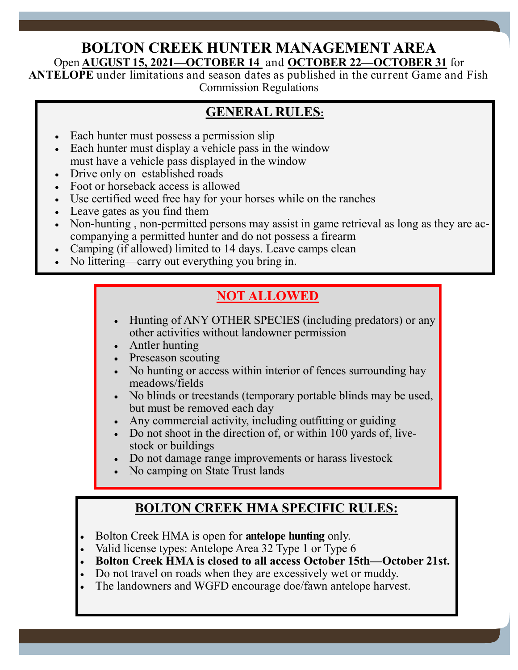#### **BOLTON CREEK HUNTER MANAGEMENT AREA** Open **AUGUST 15, 2021—OCTOBER 14** and **OCTOBER 22—OCTOBER 31** for

**ANTELOPE** under limitations and season dates as published in the current Game and Fish Commission Regulations

### **GENERAL RULES:**

- Each hunter must possess a permission slip
- Each hunter must display a vehicle pass in the window must have a vehicle pass displayed in the window
- Drive only on established roads
- Foot or horseback access is allowed **Foot** or horseback access is allowed
	- Use certified weed free hay for your horses while on the ranches
	- Leave gates as you find them
	- Non-hunting, non-permitted persons may assist in game retrieval as long as they are accompanying a permitted hunter and do not possess a firearm
	- Camping (if allowed) limited to 14 days. Leave camps clean
	- No littering—carry out everything you bring in.

# **NOT ALLOWED**

- Hunting of ANY OTHER SPECIES (including predators) or any other activities without landowner permission
- Antler hunting
- Preseason scouting
- No hunting or access within interior of fences surrounding hay meadows/fields
- No blinds or treestands (temporary portable blinds may be used, but must be removed each day
- Any commercial activity, including outfitting or guiding
- Do not shoot in the direction of, or within 100 yards of, livestock or buildings
- Do not damage range improvements or harass livestock
- No camping on State Trust lands

# **BOLTON CREEK HMA SPECIFIC RULES:**

- Bolton Creek HMA is open for **antelope hunting** only.
- Valid license types: Antelope Area 32 Type 1 or Type 6
- **Bolton Creek HMA is closed to all access October 15th—October 21st.**

Page 2

- Do not travel on roads when they are excessively wet or muddy.
- The landowners and WGFD encourage doe/fawn antelope harvest.